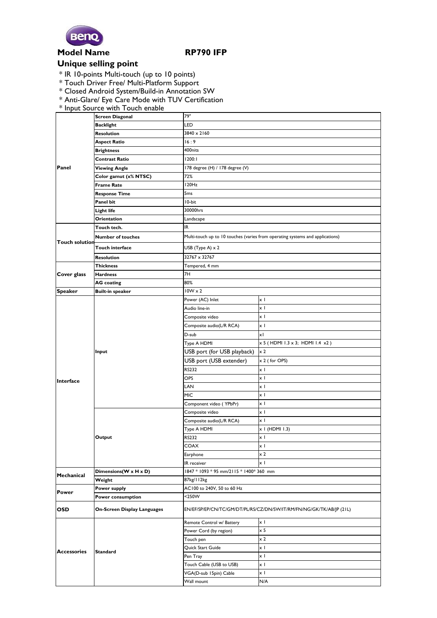

## **Model Name RP790 IFP**

## **Unique selling point**

- \* IR 10-points Multi-touch (up to 10 points)
- \* Touch Driver Free/ Multi-Platform Support
- \* Closed Android System/Build-in Annotation SW
- \* Anti-Glare/ Eye Care Mode with TUV Certification
- \* Input Source with Touch enable

| Panel                                | <b>Screen Diagonal</b>             | 79"                                                                           |                                 |
|--------------------------------------|------------------------------------|-------------------------------------------------------------------------------|---------------------------------|
|                                      | <b>Backlight</b>                   | LED                                                                           |                                 |
|                                      | <b>Resolution</b>                  | $3840 \times 2160$                                                            |                                 |
|                                      | Aspect Ratio                       | 16:9                                                                          |                                 |
|                                      | <b>Brightness</b>                  | 400nits                                                                       |                                 |
|                                      | <b>Contrast Ratio</b>              | 1200:1                                                                        |                                 |
|                                      | <b>Viewing Angle</b>               | 178 degree (H) / 178 degree (V)                                               |                                 |
|                                      | Color gamut (x% NTSC)              | 72%                                                                           |                                 |
|                                      | <b>Frame Rate</b>                  | 120Hz                                                                         |                                 |
|                                      | <b>Response Time</b>               | 5 <sub>ms</sub>                                                               |                                 |
|                                      | Panel bit                          | 10-bit                                                                        |                                 |
|                                      | <b>Light life</b>                  | 30000hrs                                                                      |                                 |
|                                      | Orientation                        | Landscape                                                                     |                                 |
| <b>Touch solution</b><br>Cover glass | Touch tech.                        | IR                                                                            |                                 |
|                                      | <b>Number of touches</b>           | Multi-touch up to 10 touches (varies from operating systems and applications) |                                 |
|                                      | <b>Touch interface</b>             | USB (Type A) $\times$ 2                                                       |                                 |
|                                      | Resolution                         | 32767 x 32767                                                                 |                                 |
|                                      | <b>Thickness</b>                   | Tempered, 4 mm                                                                |                                 |
|                                      | <b>Hardness</b>                    | 7H                                                                            |                                 |
|                                      | AG coating                         | 80%                                                                           |                                 |
| <b>Speaker</b>                       | <b>Built-in speaker</b>            | $10W \times 2$                                                                |                                 |
| Interface<br>Mechanical              | Input                              | Power (AC) Inlet                                                              | x I                             |
|                                      |                                    | Audio line-in                                                                 | $\times$ 1                      |
|                                      |                                    | Composite video                                                               | $\times$ 1                      |
|                                      |                                    | Composite audio(L/R RCA)                                                      | x I                             |
|                                      |                                    | D-sub                                                                         | xI                              |
|                                      |                                    | Type A HDMI                                                                   | x 5 (HDMI 1.3 x 3; HDMI 1.4 x2) |
|                                      |                                    | USB port (for USB playback)                                                   | $\times 2$                      |
|                                      |                                    | USB port (USB extender)                                                       | x 2 (for OPS)                   |
|                                      |                                    | RS232                                                                         | $\times$ 1                      |
|                                      |                                    | OPS                                                                           | xΙ                              |
|                                      |                                    | LAN                                                                           | x I                             |
|                                      |                                    | MIC                                                                           | xΙ                              |
|                                      |                                    | Component video (YPbPr)                                                       | x I                             |
|                                      | Output                             | Composite video                                                               | xΙ                              |
|                                      |                                    | Composite audio(L/R RCA)                                                      | x I                             |
|                                      |                                    | Type A HDMI                                                                   | x I (HDMI 1.3)                  |
|                                      |                                    | RS232                                                                         | x I                             |
|                                      |                                    | <b>COAX</b>                                                                   | хI                              |
|                                      |                                    | Earphone                                                                      | x 2                             |
|                                      |                                    | IR receiver                                                                   | $\times$ 1                      |
|                                      | Dimensions(W x H x D)              | 1847 * 1093 * 95 mm/2115 * 1400* 360 mm                                       |                                 |
|                                      | Weight                             | 87kg/112kg                                                                    |                                 |
| <b>Power</b>                         | Power supply                       | AC100 to 240V, 50 to 60 Hz                                                    |                                 |
|                                      | Power consumption                  | <250W                                                                         |                                 |
| <b>OSD</b>                           | <b>On-Screen Display Languages</b> | EN/EF/SP/EP/CN/TC/GM/DT/PL/RS/CZ/DN/SW/IT/RM/FN/NG/GK/TK/AB/ P (21L)          |                                 |
| <b>Accessories</b>                   | <b>Standard</b>                    | Remote Control w/ Battery                                                     | x I                             |
|                                      |                                    | Power Cord (by region)                                                        | $\times$ 5                      |
|                                      |                                    | Touch pen                                                                     | x 2                             |
|                                      |                                    | Quick Start Guide                                                             | x l                             |
|                                      |                                    | Pen Tray                                                                      | xΙ                              |
|                                      |                                    | Touch Cable (USB to USB)                                                      | x I                             |
|                                      |                                    | VGA(D-sub 15pin) Cable                                                        | x I                             |
|                                      |                                    | Wall mount                                                                    | N/A                             |